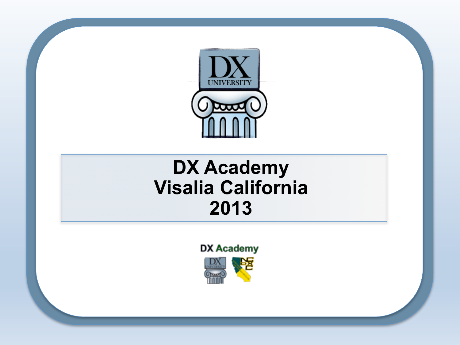

#### **DX Academy Visalia California 2013**

**DX Academy** ₩

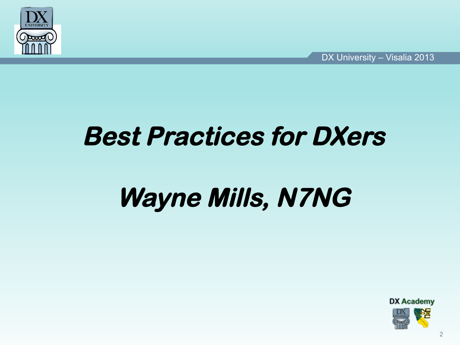

*DX University – Visalia 2013*<br> *DX University – Visalia 2013* 

### **Best Practices for DXers**

### Wayne Mills, N7NG

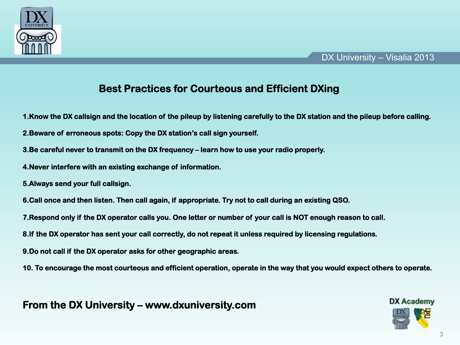

#### **Best Practices for Courteous and Efficient DXing**

- **1.Know the DX callsign and the location of the pileup by listening carefully to the DX station and the pileup before calling.**
- **2.Beware of erroneous spots: Copy the DX station's call sign yourself.**
- **3.Be careful never to transmit on the DX frequency learn how to use your radio properly.**
- **4.Never interfere with an existing exchange of information.**
- **5.Always send your full callsign.**
- **6.Call once and then listen. Then call again, if appropriate. Try not to call during an existing QSO.**
- **7.Respond only if the DX operator calls you. One letter or number of your call is NOT enough reason to call.**
- **8.If the DX operator has sent your call correctly, do not repeat it unless required by licensing regulations.**
- **9.Do not call if the DX operator asks for other geographic areas.**
- **10. To encourage the most courteous and efficient operation, operate in the way that you would expect others to operate.**

**From the DX University – www.dxuniversity.com** 

# **DX Academy**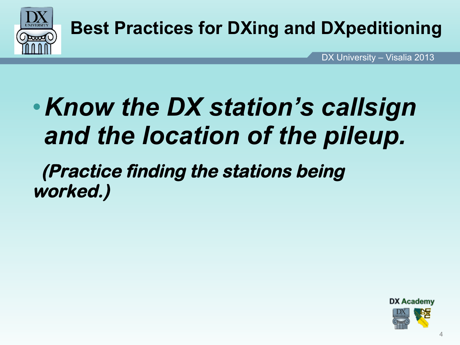

*DX University – Visalia 2013*<br> *DX University – Visalia 2013* DX University - Visalia 2013

### •*Know the DX station's callsign and the location of the pileup.*

 **(Practice finding the stations being worked.)** 

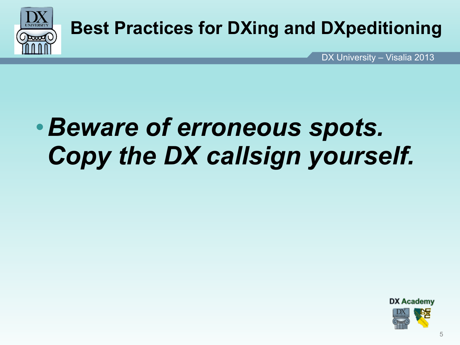

*DX University – Visalia 2013*<br> *DX University – Visalia 2013* 

### •*Beware of erroneous spots. Copy the DX callsign yourself.*

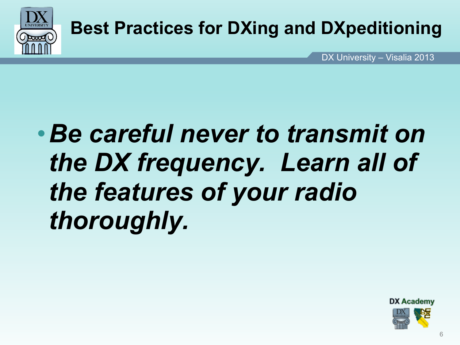

*DX University – Visalia 2013*<br> *DX University – Visalia 2013* DX University - Visalia 2013

## •*Be careful never to transmit on the DX frequency. Learn all of the features of your radio thoroughly.*

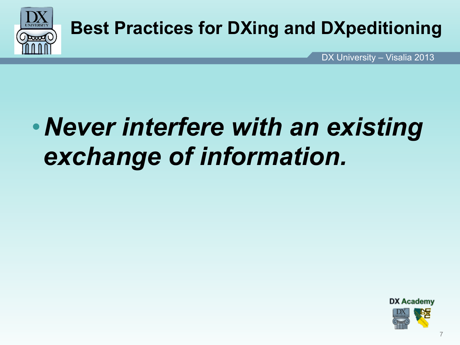

*DX University – Visalia 2013*<br> *DX University – Visalia 2013* DX University - Visalia 2013

### •*Never interfere with an existing exchange of information.*

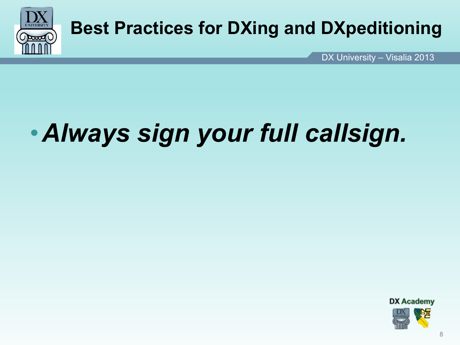

*DX University – Visalia 2013*<br> *DX University – Visalia 2013* DX University - Visalia 2013

## •*Always sign your full callsign.*

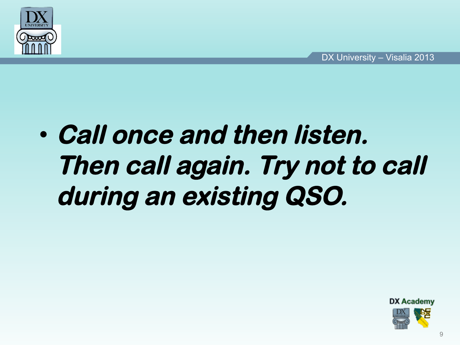

## • **Call once and then listen. Then call again. Try not to call during an existing QSO.**

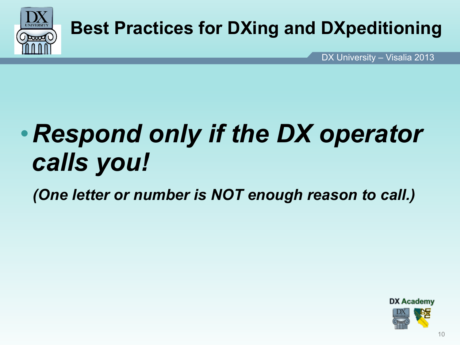

*DX University – Visalia 2013*<br> *DX University – Visalia 2013* DX University - Visalia 2013

## •*Respond only if the DX operator calls you!*

 *(One letter or number is NOT enough reason to call.)* 

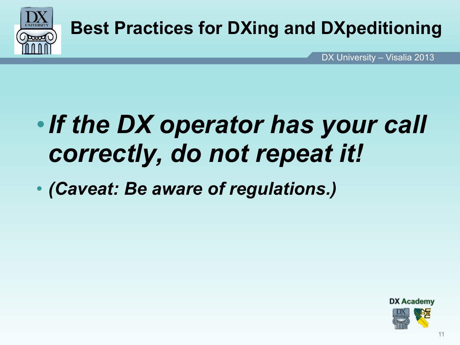

*DX University – Visalia 2013*<br> *DX University – Visalia 2013* DX University - Visalia 2013

### •*If the DX operator has your call correctly, do not repeat it!*

• *(Caveat: Be aware of regulations.)* 

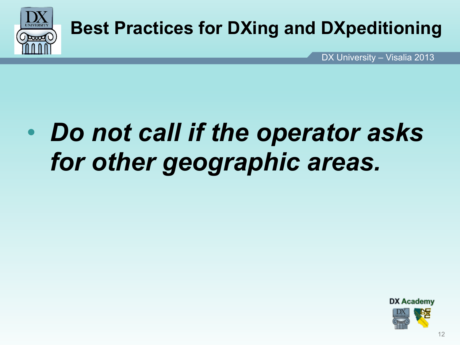

*DX University – Visalia 2013*<br> *DX University – Visalia 2013* DX University - Visalia 2013

## • *Do not call if the operator asks for other geographic areas.*

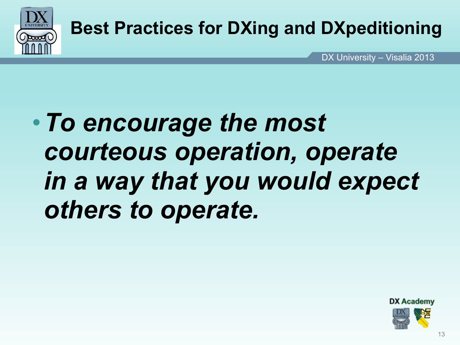

*DX University – Visalia 2013*<br> *DX University – Visalia 2013* DX University - Visalia 2013

### •*To encourage the most courteous operation, operate in a way that you would expect others to operate.*

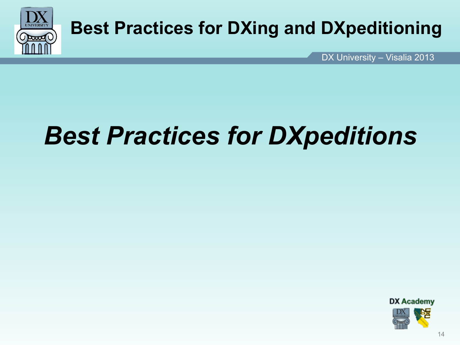

*DX University – Visalia 2013*<br> *DX University – Visalia 2013* DX University - Visalia 2013

### *Best Practices for DXpeditions*

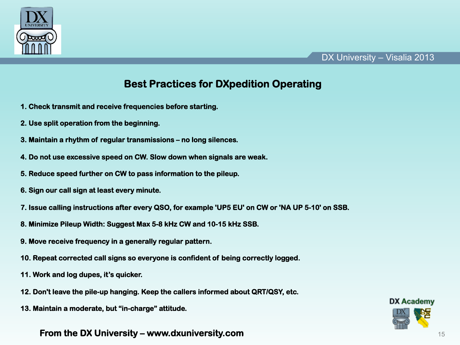

#### *DX University – Visalia 2013*<br> *DX University – Visalia 2013* DX University - Visalia 2013

#### **Best Practices for DXpedition Operating**

- **1. Check transmit and receive frequencies before starting.**
- **2. Use split operation from the beginning.**
- **3. Maintain a rhythm of regular transmissions no long silences.**
- **4. Do not use excessive speed on CW. Slow down when signals are weak.**
- **5. Reduce speed further on CW to pass information to the pileup.**
- **6. Sign our call sign at least every minute.**
- **7. Issue calling instructions after every QSO, for example 'UP5 EU' on CW or 'NA UP 5-10' on SSB.**
- **8. Minimize Pileup Width: Suggest Max 5-8 kHz CW and 10-15 kHz SSB.**
- **9. Move receive frequency in a generally regular pattern.**
- **10. Repeat corrected call signs so everyone is confident of being correctly logged.**
- **11. Work and log dupes, it's quicker.**
- **12. Don't leave the pile-up hanging. Keep the callers informed about QRT/QSY, etc.**
- **13. Maintain a moderate, but "in-charge" attitude.**

#### **From the DX University – www.dxuniversity.com**

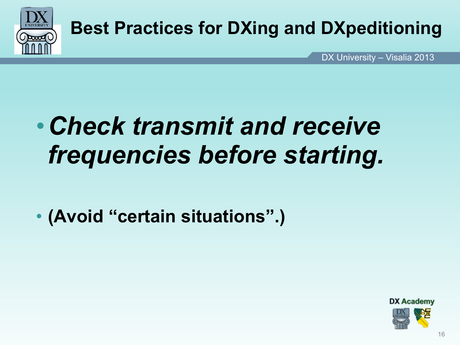

*DX University – Visalia 2013*<br> *DX University – Visalia 2013* DX University - Visalia 2013

### •*Check transmit and receive frequencies before starting.*

• **(Avoid "certain situations".)** 

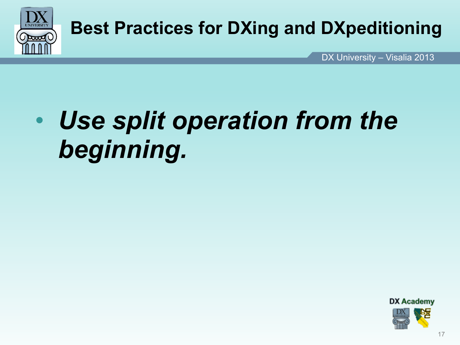

*DX University – Visalia 2013*<br> *DX University – Visalia 2013* DX University - Visalia 2013

### • *Use split operation from the beginning.*

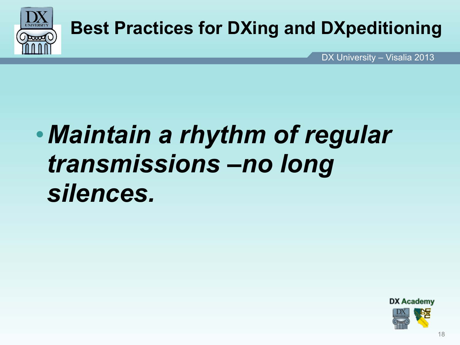

*DX University – Visalia 2013*<br> *DX University – Visalia 2013* 

### •*Maintain a rhythm of regular transmissions –no long silences.*

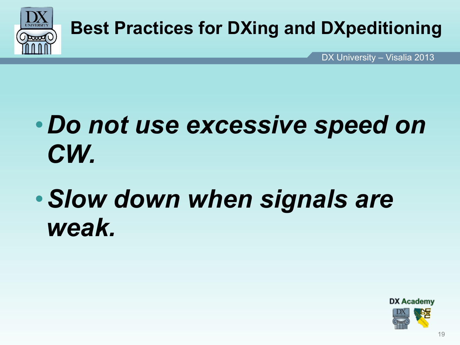

*DX University – Visalia 2013*<br> *DX University – Visalia 2013* DX University - Visalia 2013

### •*Do not use excessive speed on CW.*

### •*Slow down when signals are weak.*

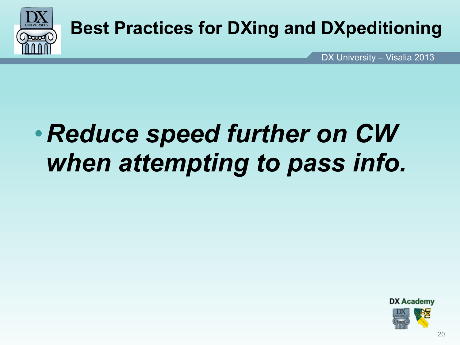

*DX University – Visalia 2013*<br> *DX University – Visalia 2013* DX University - Visalia 2013

## •*Reduce speed further on CW when attempting to pass info.*

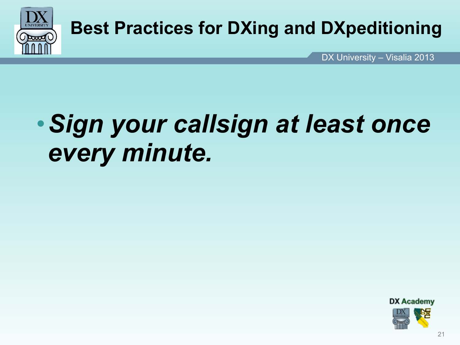

*DX University – Visalia 2013*<br> *DX University – Visalia 2013* DX University - Visalia 2013

### •*Sign your callsign at least once every minute.*

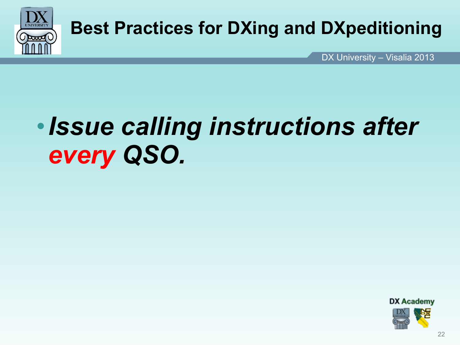

*DX University – Visalia 2013*<br> *DX University – Visalia 2013* DX University - Visalia 2013

### •*Issue calling instructions after every QSO.*

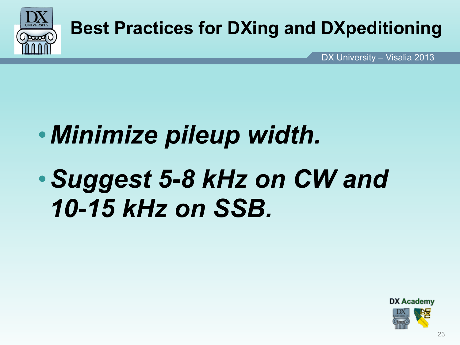

*DX University – Visalia 2013*<br> *DX University – Visalia 2013* DX University - Visalia 2013

## •*Minimize pileup width.*

### •*Suggest 5-8 kHz on CW and 10-15 kHz on SSB.*

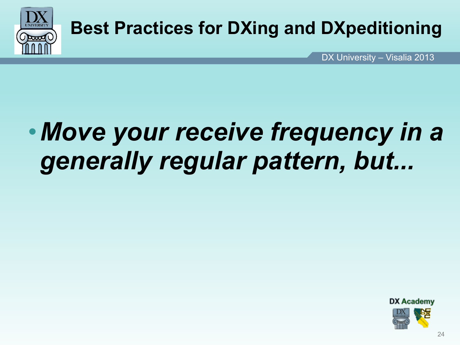

*DX University – Visalia 2013*<br> *DX University – Visalia 2013* DX University - Visalia 2013

### •*Move your receive frequency in a generally regular pattern, but...*

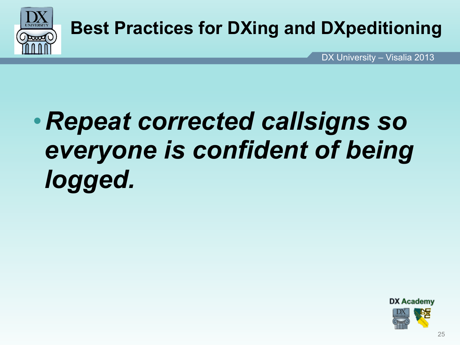

*DX University – Visalia 2013*<br> *DX University – Visalia 2013* DX University - Visalia 2013

### •*Repeat corrected callsigns so everyone is confident of being logged.*

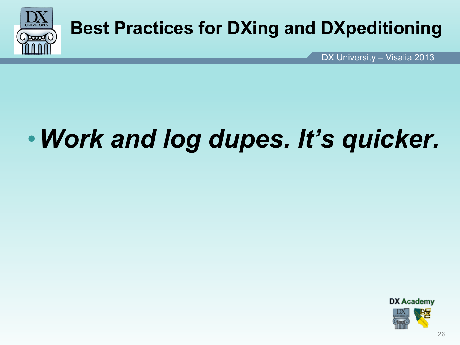

*DX University – Visalia 2013*<br> *DX University – Visalia 2013* DX University - Visalia 2013

## •*Work and log dupes. It's quicker.*

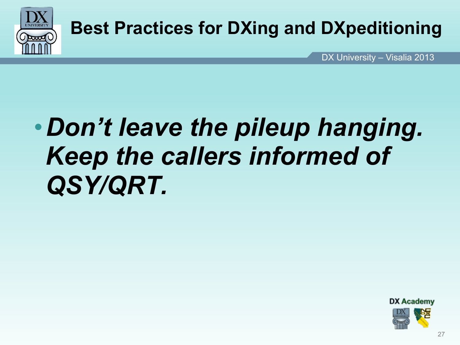

*DX University – Visalia 2013*<br> *DX University – Visalia 2013* DX University - Visalia 2013

### •*Don't leave the pileup hanging. Keep the callers informed of QSY/QRT.*

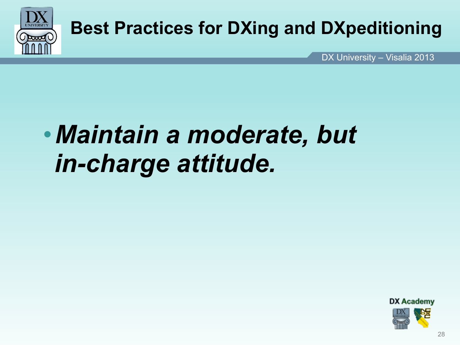

*DX University – Visalia 2013*<br> *DX University – Visalia 2013* DX University - Visalia 2013

### •*Maintain a moderate, but in-charge attitude.*

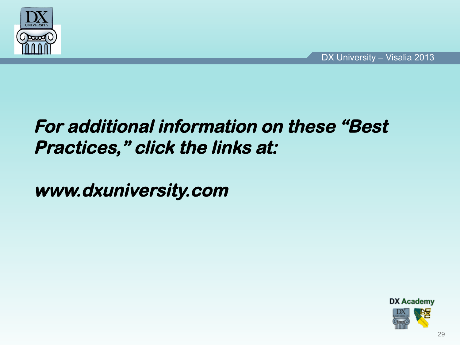

#### **For additional information on these "Best Practices," click the links at:**

**www.dxuniversity.com**